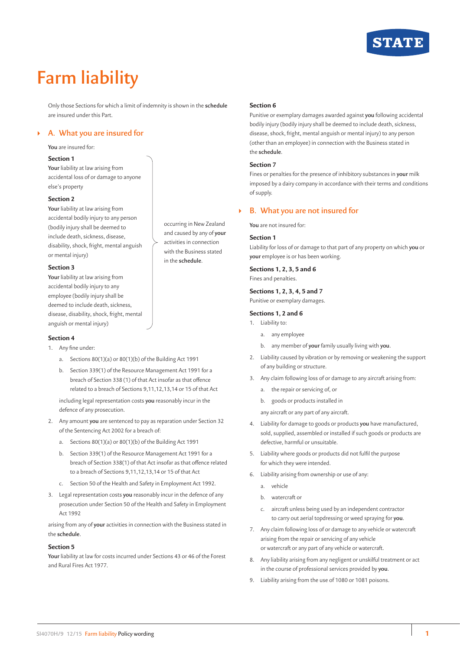

# **Farm liability**

Only those Sections for which a limit of indemnity is shown in the **schedule** are insured under this Part.

# ` **A. What you are insured for**

## **You** are insured for:

## **Section 1**

**Your** liability at law arising from accidental loss of or damage to anyone else's property

#### **Section 2**

**Your** liability at law arising from accidental bodily injury to any person (bodily injury shall be deemed to include death, sickness, disease, disability, shock, fright, mental anguish or mental injury)

# **Section 3**

**Your** liability at law arising from accidental bodily injury to any employee (bodily injury shall be deemed to include death, sickness, disease, disability, shock, fright, mental anguish or mental injury)

#### **Section 4**

- 1. Any fine under:
	- a. Sections 80(1)(a) or 80(1)(b) of the Building Act 1991
	- b. Section 339(1) of the Resource Management Act 1991 for a breach of Section 338 (1) of that Act insofar as that offence related to a breach of Sections 9,11,12,13,14 or 15 of that Act

including legal representation costs **you** reasonably incur in the defence of any prosecution.

- 2. Any amount **you** are sentenced to pay as reparation under Section 32 of the Sentencing Act 2002 for a breach of:
	- a. Sections 80(1)(a) or 80(1)(b) of the Building Act 1991
	- b. Section 339(1) of the Resource Management Act 1991 for a breach of Section 338(1) of that Act insofar as that offence related to a breach of Sections 9,11,12,13,14 or 15 of that Act
	- c. Section 50 of the Health and Safety in Employment Act 1992.
- 3. Legal representation costs **you** reasonably incur in the defence of any prosecution under Section 50 of the Health and Safety in Employment Act 1992

arising from any of **your** activities in connection with the Business stated in the **schedule**.

# **Section 5**

**Your** liability at law for costs incurred under Sections 43 or 46 of the Forest and Rural Fires Act 1977.

#### **Section 6**

Punitive or exemplary damages awarded against **you** following accidental bodily injury (bodily injury shall be deemed to include death, sickness, disease, shock, fright, mental anguish or mental injury) to any person (other than an employee) in connection with the Business stated in the **schedule**.

## **Section 7**

Fines or penalties for the presence of inhibitory substances in **your** milk imposed by a dairy company in accordance with their terms and conditions of supply.

# ` **B. What you are not insured for**

**You** are not insured for:

#### **Section 1**

occurring in New Zealand and caused by any of **your** activities in connection with the Business stated in the **schedule**.

Liability for loss of or damage to that part of any property on which **you** or **your** employee is or has been working.

**Sections 1, 2, 3, 5 and 6**

Fines and penalties.

# **Sections 1, 2, 3, 4, 5 and 7**

Punitive or exemplary damages.

## **Sections 1, 2 and 6**

- 1. Liability to:
	- a. any employee
	- b. any member of **your** family usually living with **you**.
- 2. Liability caused by vibration or by removing or weakening the support of any building or structure.
- 3. Any claim following loss of or damage to any aircraft arising from:
	- a. the repair or servicing of, or
	- b. goods or products installed in

any aircraft or any part of any aircraft.

- 4. Liability for damage to goods or products **you** have manufactured, sold, supplied, assembled or installed if such goods or products are defective, harmful or unsuitable.
- 5. Liability where goods or products did not fulfil the purpose for which they were intended.
- 6. Liability arising from ownership or use of any:
	- a. vehicle
	- b. watercraft or
	- c. aircraft unless being used by an independent contractor to carry out aerial topdressing or weed spraying for **you**.
- 7. Any claim following loss of or damage to any vehicle or watercraft arising from the repair or servicing of any vehicle or watercraft or any part of any vehicle or watercraft.
- 8. Any liability arising from any negligent or unskilful treatment or act in the course of professional services provided by **you**.
- 9. Liability arising from the use of 1080 or 1081 poisons.